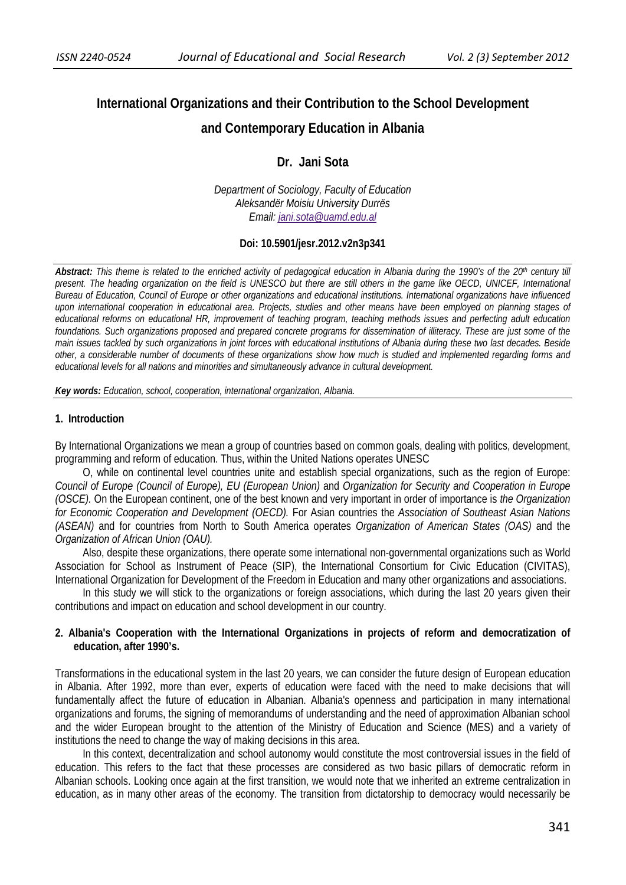# **International Organizations and their Contribution to the School Development and Contemporary Education in Albania**

## **Dr. Jani Sota**

*Department of Sociology, Faculty of Education Aleksandër Moisiu University Durrës Email: jani.sota@uamd.edu.al*

### **Doi: 10.5901/jesr.2012.v2n3p341**

*Abstract: This theme is related to the enriched activity of pedagogical education in Albania during the 1990's of the 20th century till present. The heading organization on the field is UNESCO but there are still others in the game like OECD, UNICEF, International Bureau of Education, Council of Europe or other organizations and educational institutions. International organizations have influenced upon international cooperation in educational area. Projects, studies and other means have been employed on planning stages of educational reforms on educational HR, improvement of teaching program, teaching methods issues and perfecting adult education foundations. Such organizations proposed and prepared concrete programs for dissemination of illiteracy. These are just some of the main issues tackled by such organizations in joint forces with educational institutions of Albania during these two last decades. Beside other, a considerable number of documents of these organizations show how much is studied and implemented regarding forms and educational levels for all nations and minorities and simultaneously advance in cultural development.* 

*Key words: Education, school, cooperation, international organization, Albania.* 

### **1. Introduction**

By International Organizations we mean a group of countries based on common goals, dealing with politics, development, programming and reform of education. Thus, within the United Nations operates UNESC

O, while on continental level countries unite and establish special organizations, such as the region of Europe: *Council of Europe (Council of Europe), EU (European Union)* and *Organization for Security and Cooperation in Europe (OSCE).* On the European continent, one of the best known and very important in order of importance is *the Organization for Economic Cooperation and Development (OECD).* For Asian countries the *Association of Southeast Asian Nations (ASEAN)* and for countries from North to South America operates *Organization of American States (OAS)* and the *Organization of African Union (OAU).*

Also, despite these organizations, there operate some international non-governmental organizations such as World Association for School as Instrument of Peace (SIP), the International Consortium for Civic Education (CIVITAS), International Organization for Development of the Freedom in Education and many other organizations and associations.

In this study we will stick to the organizations or foreign associations, which during the last 20 years given their contributions and impact on education and school development in our country.

### **2. Albania's Cooperation with the International Organizations in projects of reform and democratization of education, after 1990's.**

Transformations in the educational system in the last 20 years, we can consider the future design of European education in Albania. After 1992, more than ever, experts of education were faced with the need to make decisions that will fundamentally affect the future of education in Albanian. Albania's openness and participation in many international organizations and forums, the signing of memorandums of understanding and the need of approximation Albanian school and the wider European brought to the attention of the Ministry of Education and Science (MES) and a variety of institutions the need to change the way of making decisions in this area.

In this context, decentralization and school autonomy would constitute the most controversial issues in the field of education. This refers to the fact that these processes are considered as two basic pillars of democratic reform in Albanian schools. Looking once again at the first transition, we would note that we inherited an extreme centralization in education, as in many other areas of the economy. The transition from dictatorship to democracy would necessarily be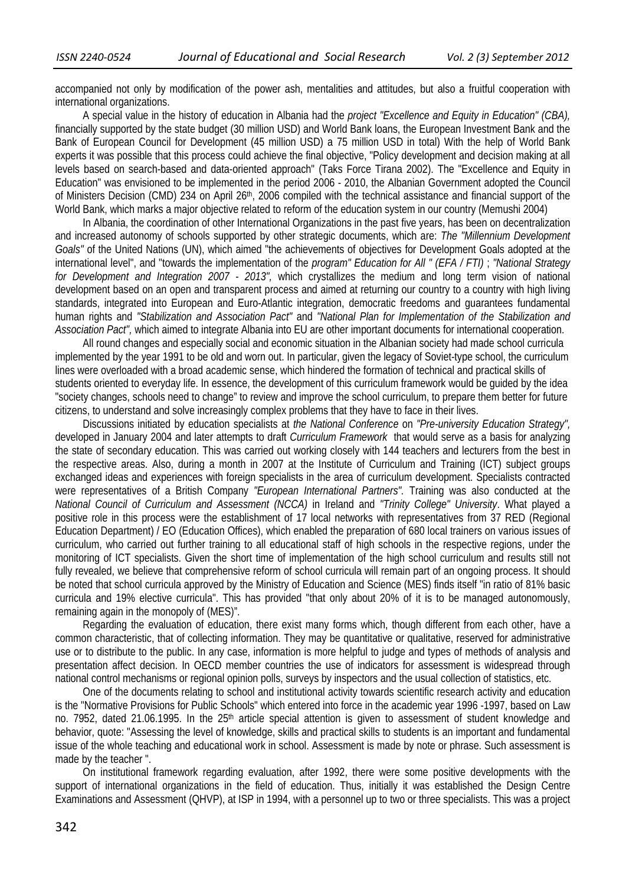accompanied not only by modification of the power ash, mentalities and attitudes, but also a fruitful cooperation with international organizations.

A special value in the history of education in Albania had the *project "Excellence and Equity in Education" (CBA),* financially supported by the state budget (30 million USD) and World Bank loans, the European Investment Bank and the Bank of European Council for Development (45 million USD) a 75 million USD in total) With the help of World Bank experts it was possible that this process could achieve the final objective, "Policy development and decision making at all levels based on search-based and data-oriented approach" (Taks Force Tirana 2002). The "Excellence and Equity in Education" was envisioned to be implemented in the period 2006 - 2010, the Albanian Government adopted the Council of Ministers Decision (CMD) 234 on April 26<sup>th</sup>, 2006 compiled with the technical assistance and financial support of the World Bank, which marks a major objective related to reform of the education system in our country (Memushi 2004)

In Albania, the coordination of other International Organizations in the past five years, has been on decentralization and increased autonomy of schools supported by other strategic documents, which are: *The "Millennium Development Goals"* of the United Nations (UN), which aimed "the achievements of objectives for Development Goals adopted at the international level", and "towards the implementation of the *program" Education for All " (EFA / FTI)* ; *"National Strategy for Development and Integration 2007 - 2013",* which crystallizes the medium and long term vision of national development based on an open and transparent process and aimed at returning our country to a country with high living standards, integrated into European and Euro-Atlantic integration, democratic freedoms and guarantees fundamental human rights and *"Stabilization and Association Pact"* and *"National Plan for Implementation of the Stabilization and Association Pact",* which aimed to integrate Albania into EU are other important documents for international cooperation.

All round changes and especially social and economic situation in the Albanian society had made school curricula implemented by the year 1991 to be old and worn out. In particular, given the legacy of Soviet-type school, the curriculum lines were overloaded with a broad academic sense, which hindered the formation of technical and practical skills of students oriented to everyday life. In essence, the development of this curriculum framework would be guided by the idea "society changes, schools need to change" to review and improve the school curriculum, to prepare them better for future citizens, to understand and solve increasingly complex problems that they have to face in their lives.

Discussions initiated by education specialists at *the National Conference* on *"Pre-university Education Strategy",* developed in January 2004 and later attempts to draft *Curriculum Framework* that would serve as a basis for analyzing the state of secondary education. This was carried out working closely with 144 teachers and lecturers from the best in the respective areas. Also, during a month in 2007 at the Institute of Curriculum and Training (ICT) subject groups exchanged ideas and experiences with foreign specialists in the area of curriculum development. Specialists contracted were representatives of a British Company *"European International Partners".* Training was also conducted at the *National Council of Curriculum and Assessment (NCCA)* in Ireland and *"Trinity College" University*. What played a positive role in this process were the establishment of 17 local networks with representatives from 37 RED (Regional Education Department) / EO (Education Offices), which enabled the preparation of 680 local trainers on various issues of curriculum, who carried out further training to all educational staff of high schools in the respective regions, under the monitoring of ICT specialists. Given the short time of implementation of the high school curriculum and results still not fully revealed, we believe that comprehensive reform of school curricula will remain part of an ongoing process. It should be noted that school curricula approved by the Ministry of Education and Science (MES) finds itself "in ratio of 81% basic curricula and 19% elective curricula". This has provided "that only about 20% of it is to be managed autonomously, remaining again in the monopoly of (MES)".

Regarding the evaluation of education, there exist many forms which, though different from each other, have a common characteristic, that of collecting information. They may be quantitative or qualitative, reserved for administrative use or to distribute to the public. In any case, information is more helpful to judge and types of methods of analysis and presentation affect decision. In OECD member countries the use of indicators for assessment is widespread through national control mechanisms or regional opinion polls, surveys by inspectors and the usual collection of statistics, etc.

One of the documents relating to school and institutional activity towards scientific research activity and education is the "Normative Provisions for Public Schools" which entered into force in the academic year 1996 -1997, based on Law no. 7952, dated 21.06.1995. In the 25<sup>th</sup> article special attention is given to assessment of student knowledge and behavior, quote: "Assessing the level of knowledge, skills and practical skills to students is an important and fundamental issue of the whole teaching and educational work in school. Assessment is made by note or phrase. Such assessment is made by the teacher ".

On institutional framework regarding evaluation, after 1992, there were some positive developments with the support of international organizations in the field of education. Thus, initially it was established the Design Centre Examinations and Assessment (QHVP), at ISP in 1994, with a personnel up to two or three specialists. This was a project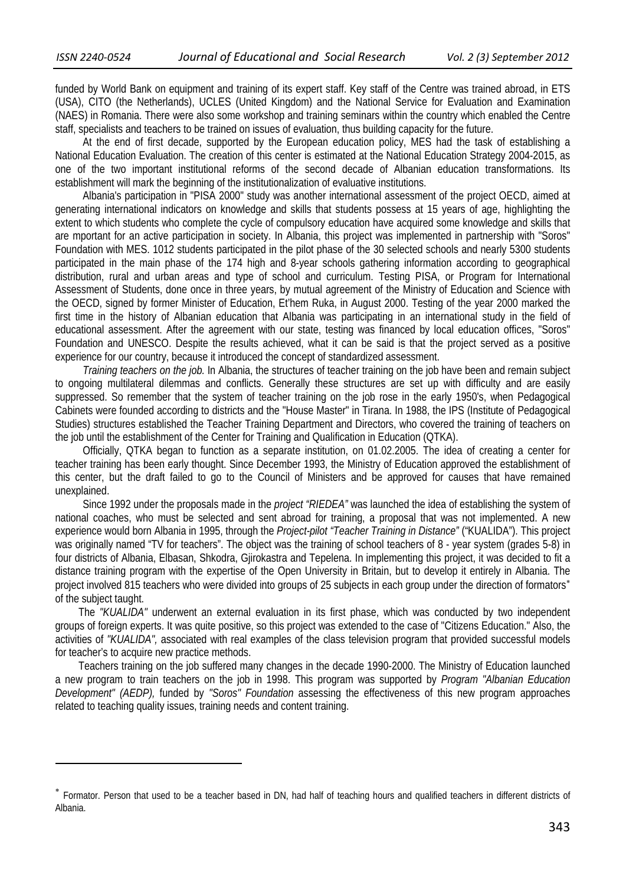funded by World Bank on equipment and training of its expert staff. Key staff of the Centre was trained abroad, in ETS (USA), CITO (the Netherlands), UCLES (United Kingdom) and the National Service for Evaluation and Examination (NAES) in Romania. There were also some workshop and training seminars within the country which enabled the Centre staff, specialists and teachers to be trained on issues of evaluation, thus building capacity for the future.

At the end of first decade, supported by the European education policy, MES had the task of establishing a National Education Evaluation. The creation of this center is estimated at the National Education Strategy 2004-2015, as one of the two important institutional reforms of the second decade of Albanian education transformations. Its establishment will mark the beginning of the institutionalization of evaluative institutions.

Albania's participation in "PISA 2000" study was another international assessment of the project OECD, aimed at generating international indicators on knowledge and skills that students possess at 15 years of age, highlighting the extent to which students who complete the cycle of compulsory education have acquired some knowledge and skills that are mportant for an active participation in society. In Albania, this project was implemented in partnership with "Soros" Foundation with MES. 1012 students participated in the pilot phase of the 30 selected schools and nearly 5300 students participated in the main phase of the 174 high and 8-year schools gathering information according to geographical distribution, rural and urban areas and type of school and curriculum. Testing PISA, or Program for International Assessment of Students, done once in three years, by mutual agreement of the Ministry of Education and Science with the OECD, signed by former Minister of Education, Et'hem Ruka, in August 2000. Testing of the year 2000 marked the first time in the history of Albanian education that Albania was participating in an international study in the field of educational assessment. After the agreement with our state, testing was financed by local education offices, "Soros" Foundation and UNESCO. Despite the results achieved, what it can be said is that the project served as a positive experience for our country, because it introduced the concept of standardized assessment.

*Training teachers on the job.* In Albania, the structures of teacher training on the job have been and remain subject to ongoing multilateral dilemmas and conflicts. Generally these structures are set up with difficulty and are easily suppressed. So remember that the system of teacher training on the job rose in the early 1950's, when Pedagogical Cabinets were founded according to districts and the "House Master" in Tirana. In 1988, the IPS (Institute of Pedagogical Studies) structures established the Teacher Training Department and Directors, who covered the training of teachers on the job until the establishment of the Center for Training and Qualification in Education (QTKA).

Officially, QTKA began to function as a separate institution, on 01.02.2005. The idea of creating a center for teacher training has been early thought. Since December 1993, the Ministry of Education approved the establishment of this center, but the draft failed to go to the Council of Ministers and be approved for causes that have remained unexplained.

Since 1992 under the proposals made in the *project "RIEDEA"* was launched the idea of establishing the system of national coaches, who must be selected and sent abroad for training, a proposal that was not implemented. A new experience would born Albania in 1995, through the *Project-pilot "Teacher Training in Distance"* ("KUALIDA"). This project was originally named "TV for teachers". The object was the training of school teachers of 8 - year system (grades 5-8) in four districts of Albania, Elbasan, Shkodra, Gjirokastra and Tepelena. In implementing this project, it was decided to fit a distance training program with the expertise of the Open University in Britain, but to develop it entirely in Albania. The project involved 815 teachers who were divided into groups of 25 subjects in each group under the direction of formators of the subject taught.

The *"KUALIDA"* underwent an external evaluation in its first phase, which was conducted by two independent groups of foreign experts. It was quite positive, so this project was extended to the case of "Citizens Education." Also, the activities of *"KUALIDA",* associated with real examples of the class television program that provided successful models for teacher's to acquire new practice methods.

Teachers training on the job suffered many changes in the decade 1990-2000. The Ministry of Education launched a new program to train teachers on the job in 1998. This program was supported by *Program "Albanian Education Development" (AEDP),* funded by *"Soros" Foundation* assessing the effectiveness of this new program approaches related to teaching quality issues, training needs and content training.

<u> 1989 - Johann Barnett, fransk politiker (d. 1989)</u>

Formator. Person that used to be a teacher based in DN, had half of teaching hours and qualified teachers in different districts of Albania.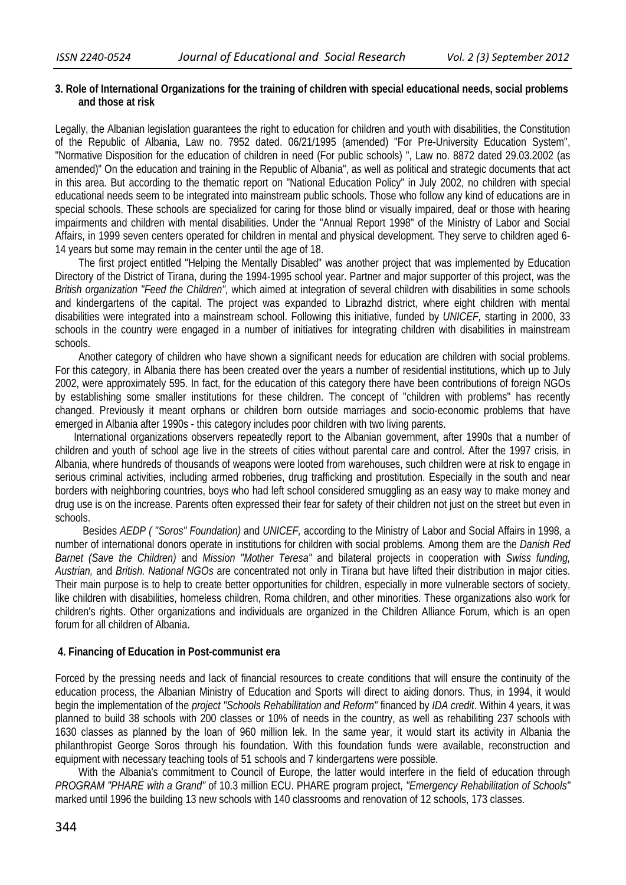#### **3. Role of International Organizations for the training of children with special educational needs, social problems and those at risk**

Legally, the Albanian legislation guarantees the right to education for children and youth with disabilities, the Constitution of the Republic of Albania, Law no. 7952 dated. 06/21/1995 (amended) "For Pre-University Education System", "Normative Disposition for the education of children in need (For public schools) ", Law no. 8872 dated 29.03.2002 (as amended)" On the education and training in the Republic of Albania", as well as political and strategic documents that act in this area. But according to the thematic report on "National Education Policy" in July 2002, no children with special educational needs seem to be integrated into mainstream public schools. Those who follow any kind of educations are in special schools. These schools are specialized for caring for those blind or visually impaired, deaf or those with hearing impairments and children with mental disabilities. Under the "Annual Report 1998" of the Ministry of Labor and Social Affairs, in 1999 seven centers operated for children in mental and physical development. They serve to children aged 6- 14 years but some may remain in the center until the age of 18.

The first project entitled "Helping the Mentally Disabled" was another project that was implemented by Education Directory of the District of Tirana, during the 1994-1995 school year. Partner and major supporter of this project, was the *British organization "Feed the Children",* which aimed at integration of several children with disabilities in some schools and kindergartens of the capital. The project was expanded to Librazhd district, where eight children with mental disabilities were integrated into a mainstream school. Following this initiative, funded by *UNICEF,* starting in 2000, 33 schools in the country were engaged in a number of initiatives for integrating children with disabilities in mainstream schools.

Another category of children who have shown a significant needs for education are children with social problems. For this category, in Albania there has been created over the years a number of residential institutions, which up to July 2002, were approximately 595. In fact, for the education of this category there have been contributions of foreign NGOs by establishing some smaller institutions for these children. The concept of "children with problems" has recently changed. Previously it meant orphans or children born outside marriages and socio-economic problems that have emerged in Albania after 1990s - this category includes poor children with two living parents.

International organizations observers repeatedly report to the Albanian government, after 1990s that a number of children and youth of school age live in the streets of cities without parental care and control. After the 1997 crisis, in Albania, where hundreds of thousands of weapons were looted from warehouses, such children were at risk to engage in serious criminal activities, including armed robberies, drug trafficking and prostitution. Especially in the south and near borders with neighboring countries, boys who had left school considered smuggling as an easy way to make money and drug use is on the increase. Parents often expressed their fear for safety of their children not just on the street but even in schools.

Besides *AEDP ( "Soros" Foundation)* and *UNICEF,* according to the Ministry of Labor and Social Affairs in 1998, a number of international donors operate in institutions for children with social problems. Among them are the *Danish Red Barnet (Save the Children)* and *Mission "Mother Teresa"* and bilateral projects in cooperation with *Swiss funding, Austrian,* and *British. National NGOs* are concentrated not only in Tirana but have lifted their distribution in major cities. Their main purpose is to help to create better opportunities for children, especially in more vulnerable sectors of society, like children with disabilities, homeless children, Roma children, and other minorities. These organizations also work for children's rights. Other organizations and individuals are organized in the Children Alliance Forum, which is an open forum for all children of Albania.

#### **4. Financing of Education in Post-communist era**

Forced by the pressing needs and lack of financial resources to create conditions that will ensure the continuity of the education process, the Albanian Ministry of Education and Sports will direct to aiding donors. Thus, in 1994, it would begin the implementation of the *project "Schools Rehabilitation and Reform"* financed by *IDA credit*. Within 4 years, it was planned to build 38 schools with 200 classes or 10% of needs in the country, as well as rehabiliting 237 schools with 1630 classes as planned by the loan of 960 million lek. In the same year, it would start its activity in Albania the philanthropist George Soros through his foundation. With this foundation funds were available, reconstruction and equipment with necessary teaching tools of 51 schools and 7 kindergartens were possible.

With the Albania's commitment to Council of Europe, the latter would interfere in the field of education through *PROGRAM "PHARE with a Grand"* of 10.3 million ECU. PHARE program project, *"Emergency Rehabilitation of Schools"* marked until 1996 the building 13 new schools with 140 classrooms and renovation of 12 schools, 173 classes.